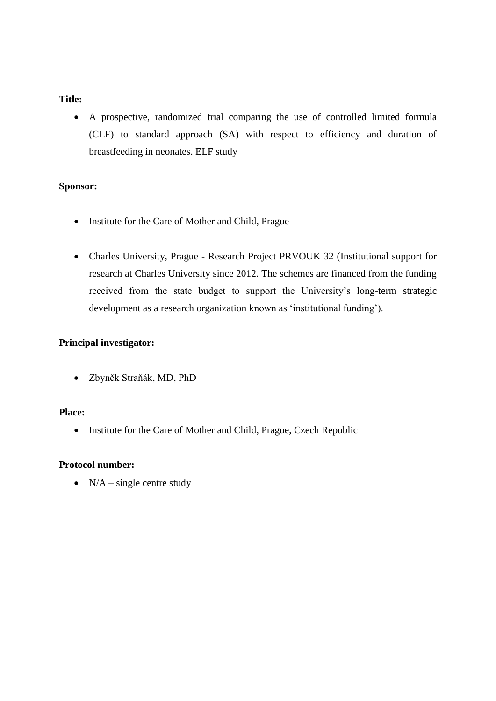#### **Title:**

 A prospective, randomized trial comparing the use of controlled limited formula (CLF) to standard approach (SA) with respect to efficiency and duration of breastfeeding in neonates. ELF study

#### **Sponsor:**

- Institute for the Care of Mother and Child, Prague
- Charles University, Prague Research Project PRVOUK 32 (Institutional support for research at Charles University since 2012. The schemes are financed from the funding received from the state budget to support the University's long-term strategic development as a research organization known as 'institutional funding').

#### **Principal investigator:**

Zbyněk Straňák, MD, PhD

# **Place:**

• Institute for the Care of Mother and Child, Prague, Czech Republic

#### **Protocol number:**

•  $N/A$  – single centre study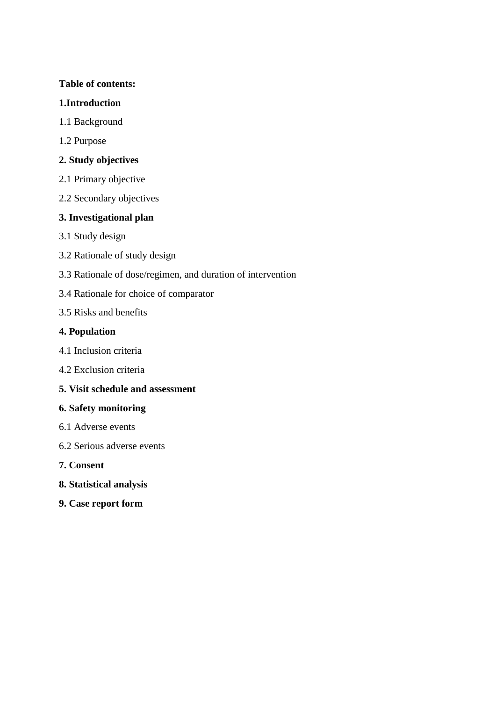# **Table of contents:**

# **1.Introduction**

- 1.1 Background
- 1.2 Purpose

# **2. Study objectives**

- 2.1 Primary objective
- 2.2 Secondary objectives

# **3. Investigational plan**

- 3.1 Study design
- 3.2 Rationale of study design
- 3.3 Rationale of dose/regimen, and duration of intervention
- 3.4 Rationale for choice of comparator
- 3.5 Risks and benefits

# **4. Population**

- 4.1 Inclusion criteria
- 4.2 Exclusion criteria
- **5. Visit schedule and assessment**

# **6. Safety monitoring**

- 6.1 Adverse events
- 6.2 Serious adverse events
- **7. Consent**
- **8. Statistical analysis**
- **9. Case report form**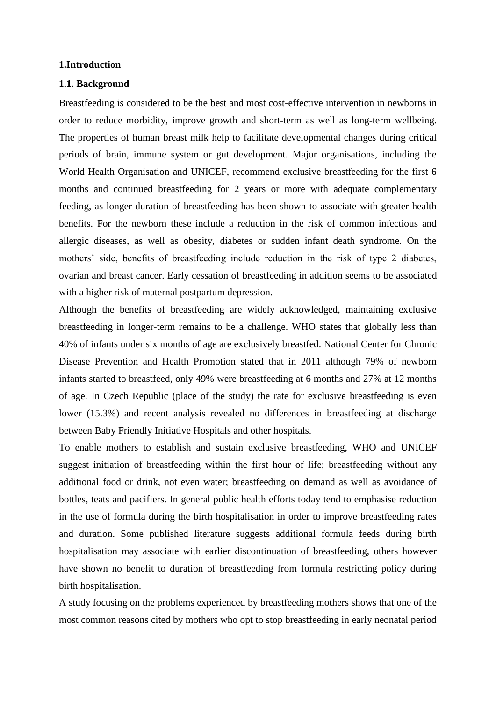#### **1.Introduction**

#### **1.1. Background**

Breastfeeding is considered to be the best and most cost-effective intervention in newborns in order to reduce morbidity, improve growth and short-term as well as long-term wellbeing. The properties of human breast milk help to facilitate developmental changes during critical periods of brain, immune system or gut development. Major organisations, including the World Health Organisation and UNICEF, recommend exclusive breastfeeding for the first 6 months and continued breastfeeding for 2 years or more with adequate complementary feeding, as longer duration of breastfeeding has been shown to associate with greater health benefits. For the newborn these include a reduction in the risk of common infectious and allergic diseases, as well as obesity, diabetes or sudden infant death syndrome. On the mothers' side, benefits of breastfeeding include reduction in the risk of type 2 diabetes, ovarian and breast cancer. Early cessation of breastfeeding in addition seems to be associated with a higher risk of maternal postpartum depression.

Although the benefits of breastfeeding are widely acknowledged, maintaining exclusive breastfeeding in longer-term remains to be a challenge. WHO states that globally less than 40% of infants under six months of age are exclusively breastfed. National Center for Chronic Disease Prevention and Health Promotion stated that in 2011 although 79% of newborn infants started to breastfeed, only 49% were breastfeeding at 6 months and 27% at 12 months of age. In Czech Republic (place of the study) the rate for exclusive breastfeeding is even lower (15.3%) and recent analysis revealed no differences in breastfeeding at discharge between Baby Friendly Initiative Hospitals and other hospitals.

To enable mothers to establish and sustain exclusive breastfeeding, WHO and UNICEF suggest initiation of breastfeeding within the first hour of life; breastfeeding without any additional food or drink, not even water; breastfeeding on demand as well as avoidance of bottles, teats and pacifiers. In general public health efforts today tend to emphasise reduction in the use of formula during the birth hospitalisation in order to improve breastfeeding rates and duration. Some published literature suggests additional formula feeds during birth hospitalisation may associate with earlier discontinuation of breastfeeding, others however have shown no benefit to duration of breastfeeding from formula restricting policy during birth hospitalisation.

A study focusing on the problems experienced by breastfeeding mothers shows that one of the most common reasons cited by mothers who opt to stop breastfeeding in early neonatal period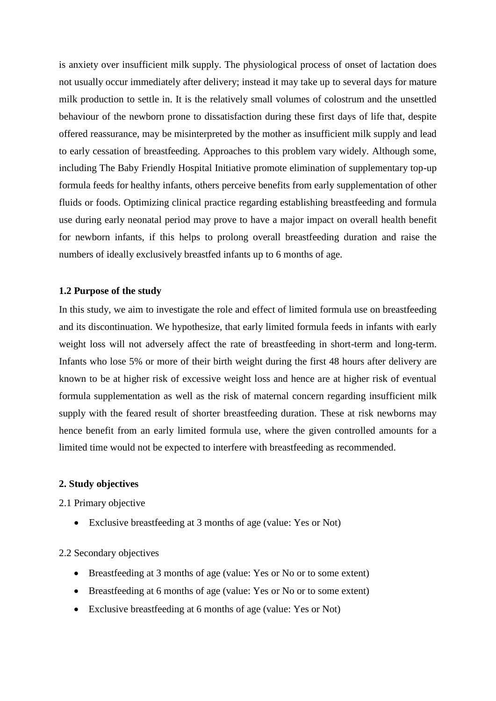is anxiety over insufficient milk supply. The physiological process of onset of lactation does not usually occur immediately after delivery; instead it may take up to several days for mature milk production to settle in. It is the relatively small volumes of colostrum and the unsettled behaviour of the newborn prone to dissatisfaction during these first days of life that, despite offered reassurance, may be misinterpreted by the mother as insufficient milk supply and lead to early cessation of breastfeeding. Approaches to this problem vary widely. Although some, including The Baby Friendly Hospital Initiative promote elimination of supplementary top-up formula feeds for healthy infants, others perceive benefits from early supplementation of other fluids or foods. Optimizing clinical practice regarding establishing breastfeeding and formula use during early neonatal period may prove to have a major impact on overall health benefit for newborn infants, if this helps to prolong overall breastfeeding duration and raise the numbers of ideally exclusively breastfed infants up to 6 months of age.

#### **1.2 Purpose of the study**

In this study, we aim to investigate the role and effect of limited formula use on breastfeeding and its discontinuation. We hypothesize, that early limited formula feeds in infants with early weight loss will not adversely affect the rate of breastfeeding in short-term and long-term. Infants who lose 5% or more of their birth weight during the first 48 hours after delivery are known to be at higher risk of excessive weight loss and hence are at higher risk of eventual formula supplementation as well as the risk of maternal concern regarding insufficient milk supply with the feared result of shorter breastfeeding duration. These at risk newborns may hence benefit from an early limited formula use, where the given controlled amounts for a limited time would not be expected to interfere with breastfeeding as recommended.

#### **2. Study objectives**

2.1 Primary objective

Exclusive breastfeeding at 3 months of age (value: Yes or Not)

#### 2.2 Secondary objectives

- Breastfeeding at 3 months of age (value: Yes or No or to some extent)
- Breastfeeding at 6 months of age (value: Yes or No or to some extent)
- Exclusive breastfeeding at 6 months of age (value: Yes or Not)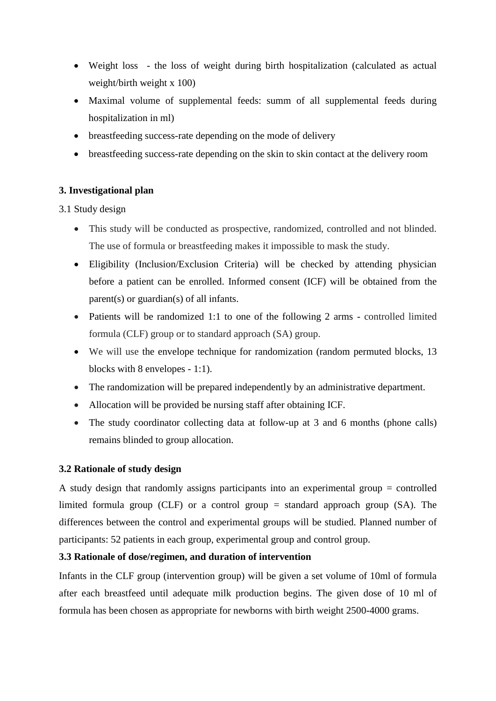- Weight loss the loss of weight during birth hospitalization (calculated as actual weight/birth weight x 100)
- Maximal volume of supplemental feeds: summ of all supplemental feeds during hospitalization in ml)
- breastfeeding success-rate depending on the mode of delivery
- breastfeeding success-rate depending on the skin to skin contact at the delivery room

# **3. Investigational plan**

# 3.1 Study design

- This study will be conducted as prospective, randomized, controlled and not blinded. The use of formula or breastfeeding makes it impossible to mask the study.
- Eligibility (Inclusion/Exclusion Criteria) will be checked by attending physician before a patient can be enrolled. Informed consent (ICF) will be obtained from the parent(s) or guardian(s) of all infants.
- Patients will be randomized 1:1 to one of the following 2 arms controlled limited formula (CLF) group or to standard approach (SA) group.
- We will use the envelope technique for randomization (random permuted blocks, 13 blocks with 8 envelopes - 1:1).
- The randomization will be prepared independently by an administrative department.
- Allocation will be provided be nursing staff after obtaining ICF.
- The study coordinator collecting data at follow-up at 3 and 6 months (phone calls) remains blinded to group allocation.

# **3.2 Rationale of study design**

A study design that randomly assigns participants into an experimental group = controlled limited formula group (CLF) or a control group  $=$  standard approach group (SA). The differences between the control and experimental groups will be studied. Planned number of participants: 52 patients in each group, experimental group and control group.

# **3.3 Rationale of dose/regimen, and duration of intervention**

Infants in the CLF group (intervention group) will be given a set volume of 10ml of formula after each breastfeed until adequate milk production begins. The given dose of 10 ml of formula has been chosen as appropriate for newborns with birth weight 2500-4000 grams.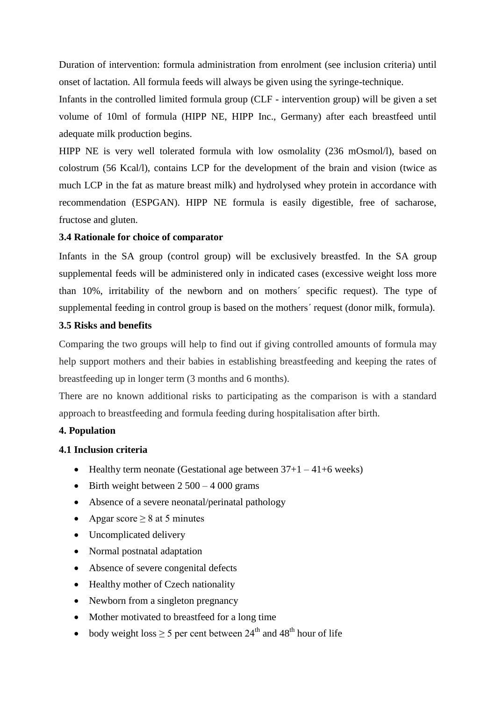Duration of intervention: formula administration from enrolment (see inclusion criteria) until onset of lactation. All formula feeds will always be given using the syringe-technique.

Infants in the controlled limited formula group (CLF - intervention group) will be given a set volume of 10ml of formula (HIPP NE, HIPP Inc., Germany) after each breastfeed until adequate milk production begins.

HIPP NE is very well tolerated formula with low osmolality (236 mOsmol/l), based on colostrum (56 Kcal/l), contains LCP for the development of the brain and vision (twice as much LCP in the fat as mature breast milk) and hydrolysed whey protein in accordance with recommendation (ESPGAN). HIPP NE formula is easily digestible, free of sacharose, fructose and gluten.

#### **3.4 Rationale for choice of comparator**

Infants in the SA group (control group) will be exclusively breastfed. In the SA group supplemental feeds will be administered only in indicated cases (excessive weight loss more than 10%, irritability of the newborn and on mothers´ specific request). The type of supplemental feeding in control group is based on the mothers´ request (donor milk, formula).

# **3.5 Risks and benefits**

Comparing the two groups will help to find out if giving controlled amounts of formula may help support mothers and their babies in establishing breastfeeding and keeping the rates of breastfeeding up in longer term (3 months and 6 months).

There are no known additional risks to participating as the comparison is with a standard approach to breastfeeding and formula feeding during hospitalisation after birth.

#### **4. Population**

#### **4.1 Inclusion criteria**

- $\bullet$  Healthy term neonate (Gestational age between  $37+1-41+6$  weeks)
- $\bullet$  Birth weight between 2 500 4 000 grams
- Absence of a severe neonatal/perinatal pathology
- Apgar score  $> 8$  at 5 minutes
- Uncomplicated delivery
- Normal postnatal adaptation
- Absence of severe congenital defects
- Healthy mother of Czech nationality
- Newborn from a singleton pregnancy
- Mother motivated to breastfeed for a long time
- body weight loss  $\geq 5$  per cent between 24<sup>th</sup> and 48<sup>th</sup> hour of life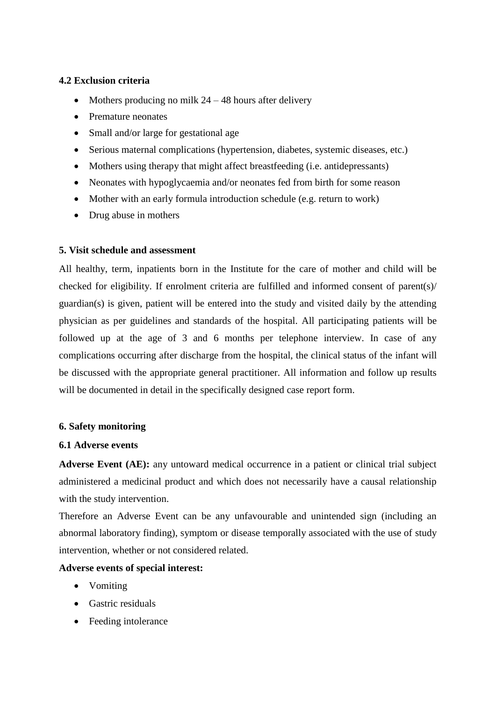#### **4.2 Exclusion criteria**

- Mothers producing no milk  $24 48$  hours after delivery
- Premature neonates
- Small and/or large for gestational age
- Serious maternal complications (hypertension, diabetes, systemic diseases, etc.)
- Mothers using therapy that might affect breastfeeding (i.e. antidepressants)
- Neonates with hypoglycaemia and/or neonates fed from birth for some reason
- Mother with an early formula introduction schedule (e.g. return to work)
- Drug abuse in mothers

# **5. Visit schedule and assessment**

All healthy, term, inpatients born in the Institute for the care of mother and child will be checked for eligibility. If enrolment criteria are fulfilled and informed consent of parent(s)/  $\alpha(s)$  is given, patient will be entered into the study and visited daily by the attending physician as per guidelines and standards of the hospital. All participating patients will be followed up at the age of 3 and 6 months per telephone interview. In case of any complications occurring after discharge from the hospital, the clinical status of the infant will be discussed with the appropriate general practitioner. All information and follow up results will be documented in detail in the specifically designed case report form.

# **6. Safety monitoring**

#### **6.1 Adverse events**

**Adverse Event (AE):** any untoward medical occurrence in a patient or clinical trial subject administered a medicinal product and which does not necessarily have a causal relationship with the study intervention.

Therefore an Adverse Event can be any unfavourable and unintended sign (including an abnormal laboratory finding), symptom or disease temporally associated with the use of study intervention, whether or not considered related.

# **Adverse events of special interest:**

- Vomiting
- Gastric residuals
- Feeding intolerance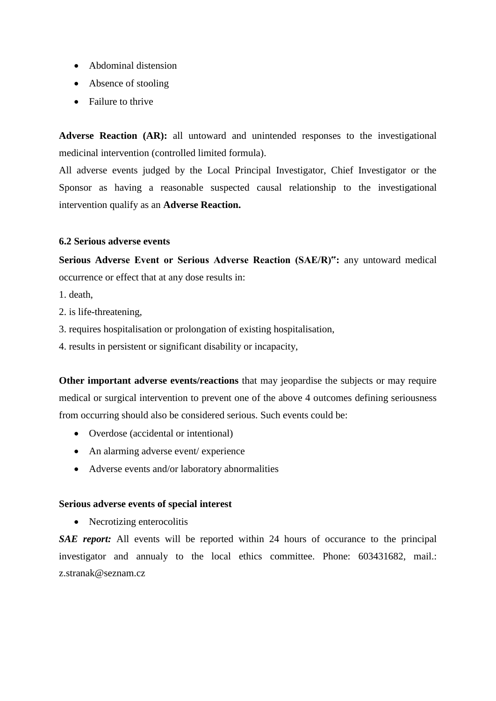- Abdominal distension
- Absence of stooling
- Failure to thrive

**Adverse Reaction (AR):** all untoward and unintended responses to the investigational medicinal intervention (controlled limited formula).

All adverse events judged by the Local Principal Investigator, Chief Investigator or the Sponsor as having a reasonable suspected causal relationship to the investigational intervention qualify as an **Adverse Reaction.**

#### **6.2 Serious adverse events**

**Serious Adverse Event or Serious Adverse Reaction (SAE/R)":** any untoward medical occurrence or effect that at any dose results in:

- 1. death,
- 2. is life-threatening,
- 3. requires hospitalisation or prolongation of existing hospitalisation,
- 4. results in persistent or significant disability or incapacity,

**Other important adverse events/reactions** that may jeopardise the subjects or may require medical or surgical intervention to prevent one of the above 4 outcomes defining seriousness from occurring should also be considered serious. Such events could be:

- Overdose (accidental or intentional)
- An alarming adverse event/ experience
- Adverse events and/or laboratory abnormalities

#### **Serious adverse events of special interest**

• Necrotizing enterocolitis

**SAE report:** All events will be reported within 24 hours of occurance to the principal investigator and annualy to the local ethics committee. Phone: 603431682, mail.: z.stranak@seznam.cz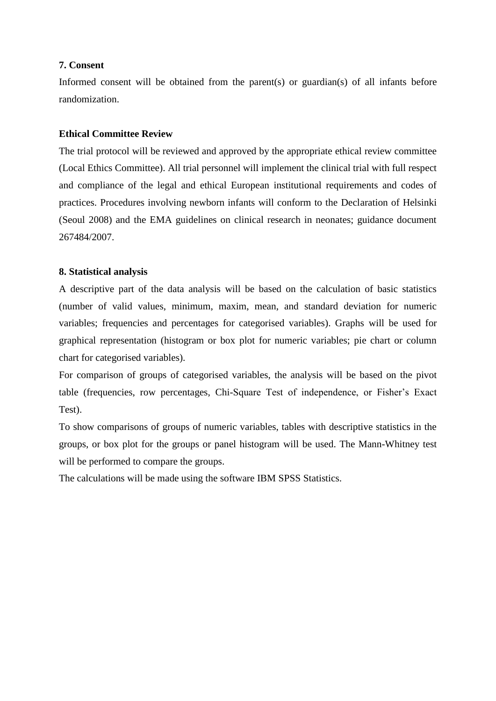#### **7. Consent**

Informed consent will be obtained from the parent(s) or guardian(s) of all infants before randomization.

#### **Ethical Committee Review**

The trial protocol will be reviewed and approved by the appropriate ethical review committee (Local Ethics Committee). All trial personnel will implement the clinical trial with full respect and compliance of the legal and ethical European institutional requirements and codes of practices. Procedures involving newborn infants will conform to the Declaration of Helsinki (Seoul 2008) and the EMA guidelines on clinical research in neonates; guidance document 267484/2007.

#### **8. Statistical analysis**

A descriptive part of the data analysis will be based on the calculation of basic statistics (number of valid values, minimum, maxim, mean, and standard deviation for numeric variables; frequencies and percentages for categorised variables). Graphs will be used for graphical representation (histogram or box plot for numeric variables; pie chart or column chart for categorised variables).

For comparison of groups of categorised variables, the analysis will be based on the pivot table (frequencies, row percentages, Chi-Square Test of independence, or Fisher's Exact Test).

To show comparisons of groups of numeric variables, tables with descriptive statistics in the groups, or box plot for the groups or panel histogram will be used. The Mann-Whitney test will be performed to compare the groups.

The calculations will be made using the software IBM SPSS Statistics.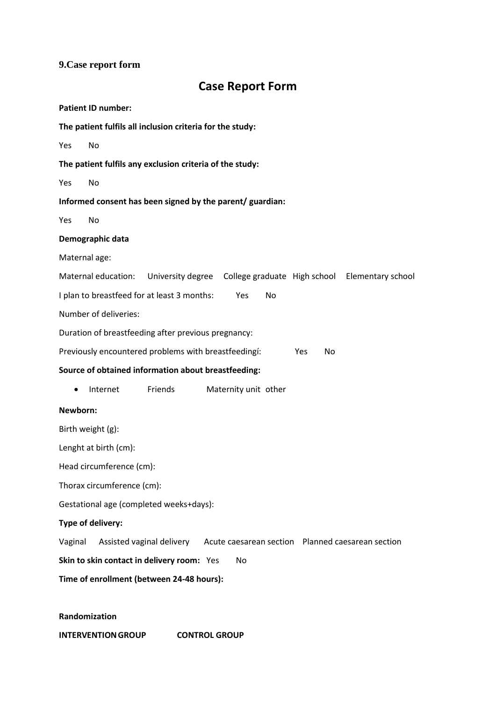# **9.Case report form**

# **Case Report Form**

|                                                          | <b>Patient ID number:</b>  |                                                                             |  |                      |  |     |    |  |  |
|----------------------------------------------------------|----------------------------|-----------------------------------------------------------------------------|--|----------------------|--|-----|----|--|--|
|                                                          |                            | The patient fulfils all inclusion criteria for the study:                   |  |                      |  |     |    |  |  |
| Yes                                                      | No                         |                                                                             |  |                      |  |     |    |  |  |
|                                                          |                            | The patient fulfils any exclusion criteria of the study:                    |  |                      |  |     |    |  |  |
| Yes                                                      | <b>No</b>                  |                                                                             |  |                      |  |     |    |  |  |
|                                                          |                            | Informed consent has been signed by the parent/ guardian:                   |  |                      |  |     |    |  |  |
| Yes                                                      | No                         |                                                                             |  |                      |  |     |    |  |  |
|                                                          | Demographic data           |                                                                             |  |                      |  |     |    |  |  |
| Maternal age:                                            |                            |                                                                             |  |                      |  |     |    |  |  |
|                                                          | Maternal education:        | University degree  College graduate  High school  Elementary school         |  |                      |  |     |    |  |  |
| I plan to breastfeed for at least 3 months:<br>Yes<br>No |                            |                                                                             |  |                      |  |     |    |  |  |
|                                                          | Number of deliveries:      |                                                                             |  |                      |  |     |    |  |  |
| Duration of breastfeeding after previous pregnancy:      |                            |                                                                             |  |                      |  |     |    |  |  |
|                                                          |                            | Previously encountered problems with breastfeedingí:                        |  |                      |  | Yes | No |  |  |
|                                                          |                            | Source of obtained information about breastfeeding:                         |  |                      |  |     |    |  |  |
| $\bullet$                                                | Internet                   | Friends                                                                     |  | Maternity unit other |  |     |    |  |  |
| Newborn:                                                 |                            |                                                                             |  |                      |  |     |    |  |  |
| Birth weight (g):                                        |                            |                                                                             |  |                      |  |     |    |  |  |
| Lenght at birth (cm):                                    |                            |                                                                             |  |                      |  |     |    |  |  |
| Head circumference (cm):                                 |                            |                                                                             |  |                      |  |     |    |  |  |
|                                                          | Thorax circumference (cm): |                                                                             |  |                      |  |     |    |  |  |
|                                                          |                            | Gestational age (completed weeks+days):                                     |  |                      |  |     |    |  |  |
|                                                          | Type of delivery:          |                                                                             |  |                      |  |     |    |  |  |
| Vaginal                                                  |                            | Assisted vaginal delivery Acute caesarean section Planned caesarean section |  |                      |  |     |    |  |  |
|                                                          |                            | Skin to skin contact in delivery room: Yes                                  |  | No                   |  |     |    |  |  |
| Time of enrollment (between 24-48 hours):                |                            |                                                                             |  |                      |  |     |    |  |  |
|                                                          |                            |                                                                             |  |                      |  |     |    |  |  |
|                                                          |                            |                                                                             |  |                      |  |     |    |  |  |

# **Randomization**

**INTERVENTIONGROUP CONTROL GROUP**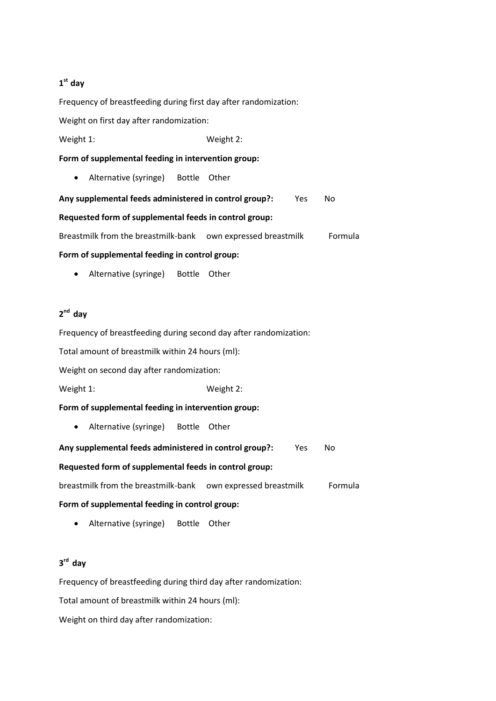#### **1 st day**

Frequency of breastfeeding during first day after randomization:

Weight on first day after randomization:

Weight 1: Weight 2:

**Form of supplemental feeding in intervention group:**

• Alternative (syringe) Bottle Other

**Any supplemental feeds administered in control group?:** Yes No **Requested form of supplemental feeds in control group:**

Breastmilk from the breastmilk-bank own expressed breastmilk Formula

#### **Form of supplemental feeding in control group:**

• Alternative (syringe) Bottle Other

# **2 nd day**

Frequency of breastfeeding during second day after randomization:

Total amount of breastmilk within 24 hours (ml):

Weight on second day after randomization:

Weight 1: Weight 2:

#### **Form of supplemental feeding in intervention group:**

Alternative (syringe) Bottle Other

**Any supplemental feeds administered in control group?:** Yes No

#### **Requested form of supplemental feeds in control group:**

breastmilk from the breastmilk-bank own expressed breastmilk Formula

#### **Form of supplemental feeding in control group:**

Alternative (syringe) Bottle Other

#### **3 rd day**

Frequency of breastfeeding during third day after randomization:

Total amount of breastmilk within 24 hours (ml):

Weight on third day after randomization: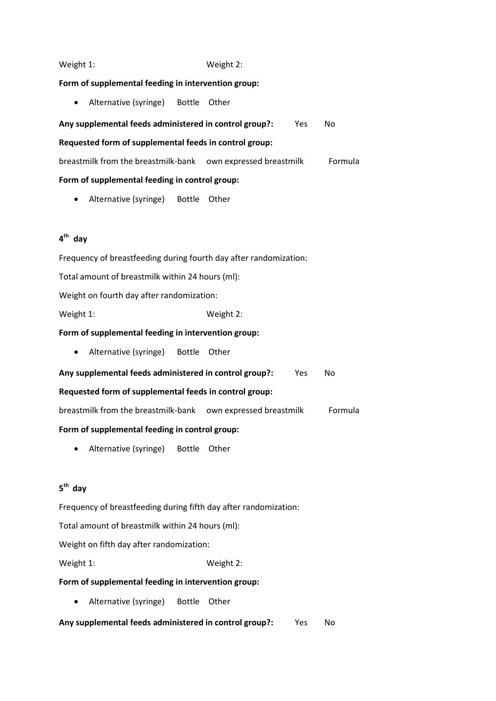#### Weight 1: Weight 2:

#### **Form of supplemental feeding in intervention group:**

• Alternative (syringe) Bottle Other

**Any supplemental feeds administered in control group?:** Yes No

#### **Requested form of supplemental feeds in control group:**

breastmilk from the breastmilk-bank own expressed breastmilk Formula

#### **Form of supplemental feeding in control group:**

Alternative (syringe) Bottle Other

# **4 th day**

Frequency of breastfeeding during fourth day after randomization:

Total amount of breastmilk within 24 hours (ml):

Weight on fourth day after randomization:

Weight 1: Weight 2:

#### **Form of supplemental feeding in intervention group:**

Alternative (syringe) Bottle Other

| Any supplemental feeds administered in control group?: | Yes | N٥ |  |
|--------------------------------------------------------|-----|----|--|
| Requested form of supplemental feeds in control group: |     |    |  |

breastmilk from the breastmilk-bank own expressed breastmilk Formula

#### **Form of supplemental feeding in control group:**

Alternative (syringe) Bottle Other

#### **5 th day**

Frequency of breastfeeding during fifth day after randomization:

Total amount of breastmilk within 24 hours (ml):

Weight on fifth day after randomization:

Weight 1: Weight 2:

#### **Form of supplemental feeding in intervention group:**

Alternative (syringe) Bottle Other

**Any supplemental feeds administered in control group?:** Yes No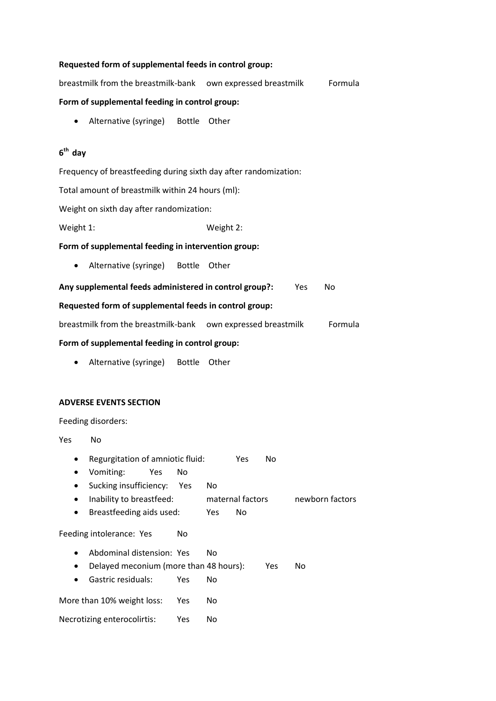|                                                              | Requested form of supplemental feeds in control group:                         |            |           |                  |     |         |                 |
|--------------------------------------------------------------|--------------------------------------------------------------------------------|------------|-----------|------------------|-----|---------|-----------------|
| breastmilk from the breastmilk-bank own expressed breastmilk |                                                                                |            |           |                  |     | Formula |                 |
| Form of supplemental feeding in control group:               |                                                                                |            |           |                  |     |         |                 |
|                                                              | Alternative (syringe) Bottle                                                   |            | Other     |                  |     |         |                 |
|                                                              |                                                                                |            |           |                  |     |         |                 |
| $6th$ day                                                    |                                                                                |            |           |                  |     |         |                 |
|                                                              | Frequency of breastfeeding during sixth day after randomization:               |            |           |                  |     |         |                 |
|                                                              | Total amount of breastmilk within 24 hours (ml):                               |            |           |                  |     |         |                 |
|                                                              | Weight on sixth day after randomization:                                       |            |           |                  |     |         |                 |
| Weight 1:                                                    |                                                                                |            | Weight 2: |                  |     |         |                 |
|                                                              | Form of supplemental feeding in intervention group:                            |            |           |                  |     |         |                 |
| ٠                                                            | Alternative (syringe) Bottle                                                   |            | Other     |                  |     |         |                 |
|                                                              | Any supplemental feeds administered in control group?:                         |            |           |                  |     | Yes     | No              |
|                                                              | Requested form of supplemental feeds in control group:                         |            |           |                  |     |         |                 |
|                                                              | breastmilk from the breastmilk-bank own expressed breastmilk                   |            |           |                  |     |         | Formula         |
|                                                              | Form of supplemental feeding in control group:                                 |            |           |                  |     |         |                 |
|                                                              | Alternative (syringe) Bottle                                                   |            | Other     |                  |     |         |                 |
|                                                              |                                                                                |            |           |                  |     |         |                 |
|                                                              | <b>ADVERSE EVENTS SECTION</b>                                                  |            |           |                  |     |         |                 |
| Feeding disorders:                                           |                                                                                |            |           |                  |     |         |                 |
| Yes<br>No                                                    |                                                                                |            |           |                  |     |         |                 |
|                                                              | Regurgitation of amniotic fluid:<br>Vomiting:<br>Yes<br>Sucking insufficiency: | No<br>Yes. | No        | Yes              | No  |         |                 |
|                                                              | Inability to breastfeed:                                                       |            |           | maternal factors |     |         | newborn factors |
|                                                              | Breastfeeding aids used:                                                       |            | Yes       | No               |     |         |                 |
|                                                              | Feeding intolerance: Yes                                                       | No         |           |                  |     |         |                 |
|                                                              | Abdominal distension: Yes                                                      |            | No        |                  |     |         |                 |
|                                                              | Delayed meconium (more than 48 hours):<br>Gastric residuals:                   |            | <b>No</b> |                  | Yes | No.     |                 |
|                                                              |                                                                                | Yes        |           |                  |     |         |                 |
|                                                              | More than 10% weight loss:                                                     | Yes        | No        |                  |     |         |                 |
|                                                              | Necrotizing enterocolirtis:                                                    | Yes        | No.       |                  |     |         |                 |